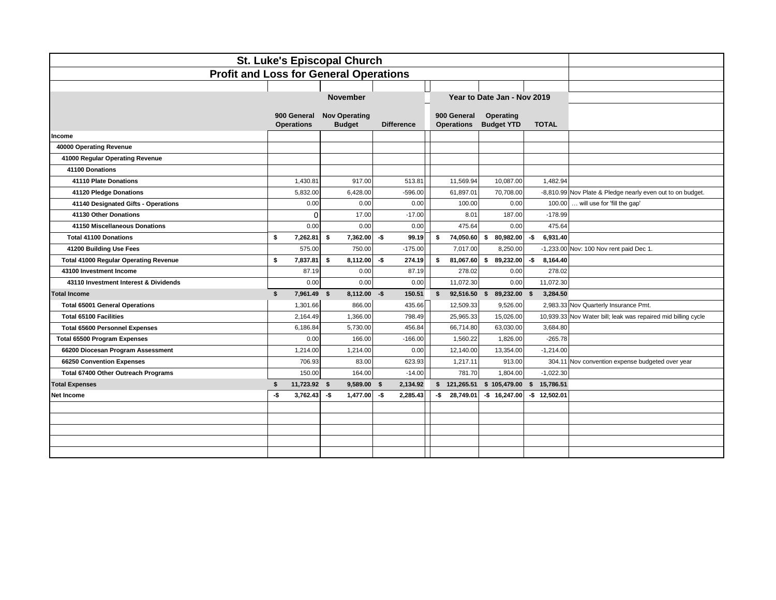| <b>St. Luke's Episcopal Church</b>            |     |                                  |                                       |                   |                                  |                                          |                  |                                                               |
|-----------------------------------------------|-----|----------------------------------|---------------------------------------|-------------------|----------------------------------|------------------------------------------|------------------|---------------------------------------------------------------|
| <b>Profit and Loss for General Operations</b> |     |                                  |                                       |                   |                                  |                                          |                  |                                                               |
|                                               |     |                                  | <b>November</b>                       |                   |                                  | Year to Date Jan - Nov 2019              |                  |                                                               |
|                                               |     | 900 General<br><b>Operations</b> | <b>Nov Operating</b><br><b>Budget</b> | <b>Difference</b> | 900 General<br><b>Operations</b> | Operating<br><b>Budget YTD</b>           | <b>TOTAL</b>     |                                                               |
| Income                                        |     |                                  |                                       |                   |                                  |                                          |                  |                                                               |
| 40000 Operating Revenue                       |     |                                  |                                       |                   |                                  |                                          |                  |                                                               |
| 41000 Regular Operating Revenue               |     |                                  |                                       |                   |                                  |                                          |                  |                                                               |
| 41100 Donations                               |     |                                  |                                       |                   |                                  |                                          |                  |                                                               |
| 41110 Plate Donations                         |     | 1,430.81                         | 917.00                                | 513.81            | 11,569.94                        | 10,087.00                                | 1,482.94         |                                                               |
| 41120 Pledge Donations                        |     | 5,832.00                         | 6.428.00                              | $-596.00$         | 61,897.01                        | 70,708.00                                |                  | -8,810.99 Nov Plate & Pledge nearly even out to on budget.    |
| 41140 Designated Gifts - Operations           |     | 0.00                             | 0.00                                  | 0.00              | 100.00                           | 0.00                                     | 100.00           | will use for 'fill the gap'                                   |
| 41130 Other Donations                         |     | $\Omega$                         | 17.00                                 | $-17.00$          | 8.01                             | 187.00                                   | $-178.99$        |                                                               |
| 41150 Miscellaneous Donations                 |     | 0.00                             | 0.00                                  | 0.00              | 475.64                           | 0.00                                     | 475.64           |                                                               |
| <b>Total 41100 Donations</b>                  | \$  | 7,262.81                         | 7,362.00<br>Ŝ.                        | -\$<br>99.19      | \$<br>74,050.60                  | \$<br>80,982.00                          | -\$<br>6,931.40  |                                                               |
| 41200 Building Use Fees                       |     | 575.00                           | 750.00                                | $-175.00$         | 7,017.00                         | 8,250.00                                 |                  | -1,233.00 Nov: 100 Nov rent paid Dec 1.                       |
| <b>Total 41000 Regular Operating Revenue</b>  | \$  | 7.837.81                         | \$<br>8,112.00                        | -\$<br>274.19     | s.<br>81,067.60                  | \$89,232.00                              | -\$<br>8,164.40  |                                                               |
| 43100 Investment Income                       |     | 87.19                            | 0.00                                  | 87.19             | 278.02                           | 0.00                                     | 278.02           |                                                               |
| 43110 Investment Interest & Dividends         |     | 0.00                             | 0.00                                  | 0.00              | 11,072.30                        | 0.00                                     | 11,072.30        |                                                               |
| <b>Total Income</b>                           | \$  | 7,961.49 \$                      | $8.112.00 - $$                        | 150.51            | $\mathbf{s}$                     | 92,516.50 \$ 89,232.00 \$                | 3,284.50         |                                                               |
| <b>Total 65001 General Operations</b>         |     | 1,301.66                         | 866.00                                | 435.66            | 12,509.33                        | 9,526.00                                 |                  | 2,983.33 Nov Quarterly Insurance Pmt.                         |
| <b>Total 65100 Facilities</b>                 |     | 2,164.49                         | 1.366.00                              | 798.49            | 25,965.33                        | 15,026.00                                |                  | 10,939.33 Nov Water bill; leak was repaired mid billing cycle |
| <b>Total 65600 Personnel Expenses</b>         |     | 6,186.84                         | 5,730.00                              | 456.84            | 66,714.80                        | 63,030.00                                | 3,684.80         |                                                               |
| <b>Total 65500 Program Expenses</b>           |     | 0.00                             | 166.00                                | $-166.00$         | 1,560.22                         | 1,826.00                                 | $-265.78$        |                                                               |
| 66200 Diocesan Program Assessment             |     | 1,214.00                         | 1,214.00                              | 0.00              | 12,140.00                        | 13,354.00                                | $-1,214.00$      |                                                               |
| 66250 Convention Expenses                     |     | 706.93                           | 83.00                                 | 623.93            | 1,217.11                         | 913.00                                   |                  | 304.11 Nov convention expense budgeted over year              |
| Total 67400 Other Outreach Programs           |     | 150.00                           | 164.00                                | $-14.00$          | 781.70                           | 1,804.00                                 | $-1,022.30$      |                                                               |
| <b>Total Expenses</b>                         | \$  | 11,723.92 \$                     | 9,589.00 \$                           | 2,134.92          |                                  | \$ 121,265.51 \$ 105,479.00 \$ 15,786.51 |                  |                                                               |
| Net Income                                    | -\$ | 3,762.43                         | 1,477.00<br>-\$                       | -\$<br>2,285.43   | $-$ \$ 28,749.01                 | $-$16,247.00$                            | $-$ \$ 12,502.01 |                                                               |
|                                               |     |                                  |                                       |                   |                                  |                                          |                  |                                                               |
|                                               |     |                                  |                                       |                   |                                  |                                          |                  |                                                               |
|                                               |     |                                  |                                       |                   |                                  |                                          |                  |                                                               |
|                                               |     |                                  |                                       |                   |                                  |                                          |                  |                                                               |
|                                               |     |                                  |                                       |                   |                                  |                                          |                  |                                                               |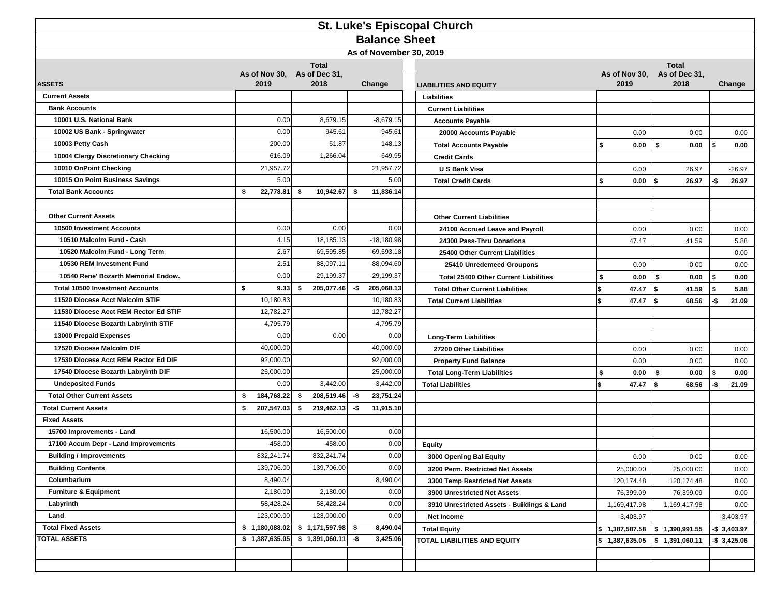| <b>St. Luke's Episcopal Church</b>     |                                                             |            |        |                                 |      |                               |  |                                              |    |                                       |     |                            |     |                 |
|----------------------------------------|-------------------------------------------------------------|------------|--------|---------------------------------|------|-------------------------------|--|----------------------------------------------|----|---------------------------------------|-----|----------------------------|-----|-----------------|
| <b>Balance Sheet</b>                   |                                                             |            |        |                                 |      |                               |  |                                              |    |                                       |     |                            |     |                 |
|                                        |                                                             |            |        |                                 |      | As of November 30, 2019       |  |                                              |    |                                       |     |                            |     |                 |
| <b>ASSETS</b>                          | <b>Total</b><br>As of Nov 30, As of Dec 31,<br>2019<br>2018 |            | Change |                                 |      | <b>LIABILITIES AND EQUITY</b> |  | As of Nov 30,<br>2019                        |    | <b>Total</b><br>As of Dec 31,<br>2018 |     | Change                     |     |                 |
| <b>Current Assets</b>                  |                                                             |            |        |                                 |      |                               |  | Liabilities                                  |    |                                       |     |                            |     |                 |
| <b>Bank Accounts</b>                   |                                                             |            |        |                                 |      |                               |  | <b>Current Liabilities</b>                   |    |                                       |     |                            |     |                 |
| 10001 U.S. National Bank               |                                                             | 0.00       |        | 8,679.15                        |      | $-8,679.15$                   |  | <b>Accounts Payable</b>                      |    |                                       |     |                            |     |                 |
| 10002 US Bank - Springwater            |                                                             | 0.00       |        | 945.61                          |      | $-945.61$                     |  | 20000 Accounts Payable                       |    | 0.00                                  |     | 0.00                       |     | 0.00            |
| 10003 Petty Cash                       |                                                             | 200.00     |        | 51.87                           |      | 148.13                        |  | <b>Total Accounts Payable</b>                | \$ | 0.00                                  |     | 0.00                       | \$  | 0.00            |
| 10004 Clergy Discretionary Checking    |                                                             | 616.09     |        | 1,266.04                        |      | $-649.95$                     |  | <b>Credit Cards</b>                          |    |                                       |     |                            |     |                 |
| 10010 OnPoint Checking                 |                                                             | 21,957.72  |        |                                 |      | 21,957.72                     |  | U S Bank Visa                                |    | 0.00                                  |     | 26.97                      |     | $-26.97$        |
| 10015 On Point Business Savings        |                                                             | 5.00       |        |                                 |      | 5.00                          |  | <b>Total Credit Cards</b>                    | \$ | 0.00                                  |     | 26.97                      | -\$ | 26.97           |
| <b>Total Bank Accounts</b>             | \$                                                          | 22,778.81  | \$     | 10,942.67                       | \$   | 11,836.14                     |  |                                              |    |                                       |     |                            |     |                 |
|                                        |                                                             |            |        |                                 |      |                               |  |                                              |    |                                       |     |                            |     |                 |
| <b>Other Current Assets</b>            |                                                             |            |        |                                 |      |                               |  | <b>Other Current Liabilities</b>             |    |                                       |     |                            |     |                 |
| <b>10500 Investment Accounts</b>       |                                                             | 0.00       |        | 0.00                            |      | 0.00                          |  | 24100 Accrued Leave and Payroll              |    | 0.00                                  |     | 0.00                       |     | 0.00            |
| 10510 Malcolm Fund - Cash              |                                                             | 4.15       |        | 18,185.13                       |      | $-18,180.98$                  |  | 24300 Pass-Thru Donations                    |    | 47.47                                 |     | 41.59                      |     | 5.88            |
| 10520 Malcolm Fund - Long Term         |                                                             | 2.67       |        | 69,595.85                       |      | $-69,593.18$                  |  | 25400 Other Current Liabilities              |    |                                       |     |                            |     | 0.00            |
| 10530 REM Investment Fund              |                                                             | 2.51       |        | 88,097.11                       |      | $-88,094.60$                  |  | 25410 Unredemeed Groupons                    |    | 0.00                                  |     | 0.00                       |     | 0.00            |
| 10540 Rene' Bozarth Memorial Endow.    |                                                             | 0.00       |        | 29,199.37                       |      | $-29,199.37$                  |  | <b>Total 25400 Other Current Liabilities</b> |    | 0.00                                  | \$  | 0.00                       | \$  | 0.00            |
| <b>Total 10500 Investment Accounts</b> | \$                                                          | 9.33       | \$     | 205,077.46                      | -\$  | 205,068.13                    |  | <b>Total Other Current Liabilities</b>       |    | 47.47                                 | l\$ | 41.59                      | Ŝ.  | 5.88            |
| 11520 Diocese Acct Malcolm STIF        |                                                             | 10,180.83  |        |                                 |      | 10,180.83                     |  | <b>Total Current Liabilities</b>             |    | 47.47                                 |     | 68.56                      | -\$ | 21.09           |
| 11530 Diocese Acct REM Rector Ed STIF  |                                                             | 12,782.27  |        |                                 |      | 12,782.27                     |  |                                              |    |                                       |     |                            |     |                 |
| 11540 Diocese Bozarth Labryinth STIF   |                                                             | 4,795.79   |        |                                 |      | 4,795.79                      |  |                                              |    |                                       |     |                            |     |                 |
| 13000 Prepaid Expenses                 |                                                             | 0.00       |        | 0.00                            |      | 0.00                          |  | <b>Long-Term Liabilities</b>                 |    |                                       |     |                            |     |                 |
| 17520 Diocese Malcolm DIF              |                                                             | 40,000.00  |        |                                 |      | 40,000.00                     |  | 27200 Other Liabilities                      |    | 0.00                                  |     | 0.00                       |     | 0.00            |
| 17530 Diocese Acct REM Rector Ed DIF   |                                                             | 92,000.00  |        |                                 |      | 92,000.00                     |  | <b>Property Fund Balance</b>                 |    | 0.00                                  |     | 0.00                       |     | 0.00            |
| 17540 Diocese Bozarth Labryinth DIF    |                                                             | 25,000.00  |        |                                 |      | 25,000.00                     |  | <b>Total Long-Term Liabilities</b>           | \$ | 0.00                                  |     | 0.00                       | \$  | 0.00            |
| <b>Undeposited Funds</b>               |                                                             | 0.00       |        | 3,442.00                        |      | $-3,442.00$                   |  | <b>Total Liabilities</b>                     |    | 47.47                                 |     | 68.56                      | -\$ | 21.09           |
| <b>Total Other Current Assets</b>      | \$                                                          | 184,768.22 | \$     | 208,519.46                      | -\$  | 23,751.24                     |  |                                              |    |                                       |     |                            |     |                 |
| <b>Total Current Assets</b>            | \$                                                          | 207,547.03 | \$     | 219,462.13                      | -\$  | 11,915.10                     |  |                                              |    |                                       |     |                            |     |                 |
| <b>Fixed Assets</b>                    |                                                             |            |        |                                 |      |                               |  |                                              |    |                                       |     |                            |     |                 |
| 15700 Improvements - Land              |                                                             | 16,500.00  |        | 16,500.00                       |      | 0.00                          |  |                                              |    |                                       |     |                            |     |                 |
| 17100 Accum Depr - Land Improvements   |                                                             | $-458.00$  |        | $-458.00$                       |      | 0.00                          |  | <b>Equity</b>                                |    |                                       |     |                            |     |                 |
| <b>Building / Improvements</b>         |                                                             | 832,241.74 |        | 832,241.74                      |      | 0.00                          |  | 3000 Opening Bal Equity                      |    | $0.00\,$                              |     | 0.00                       |     | 0.00            |
| <b>Building Contents</b>               |                                                             | 139,706.00 |        | 139,706.00                      |      | 0.00                          |  | 3200 Perm. Restricted Net Assets             |    | 25,000.00                             |     | 25,000.00                  |     | 0.00            |
| Columbarium                            |                                                             | 8,490.04   |        |                                 |      | 8,490.04                      |  | 3300 Temp Restricted Net Assets              |    | 120,174.48                            |     | 120,174.48                 |     | 0.00            |
| <b>Furniture &amp; Equipment</b>       |                                                             | 2,180.00   |        | 2,180.00                        |      | 0.00                          |  | 3900 Unrestricted Net Assets                 |    | 76,399.09                             |     | 76,399.09                  |     | 0.00            |
| Labyrinth                              |                                                             | 58,428.24  |        | 58,428.24                       |      | 0.00                          |  | 3910 Unrestricted Assets - Buildings & Land  |    | 1,169,417.98                          |     | 1,169,417.98               |     | 0.00            |
| Land                                   |                                                             | 123,000.00 |        | 123,000.00                      |      | 0.00                          |  | Net Income                                   |    | $-3,403.97$                           |     |                            |     | $-3,403.97$     |
| <b>Total Fixed Assets</b>              |                                                             |            |        | $$1,180,088.02$ $$1,171,597.98$ | - \$ | 8,490.04                      |  | <b>Total Equity</b>                          |    | \$1,387,587.58                        |     | $\frac{1}{5}$ 1,390,991.55 |     | $-$ \$ 3,403.97 |
| <b>TOTAL ASSETS</b>                    |                                                             |            |        | $$1,387,635.05$ $$1,391,060.11$ | -\$  | 3,425.06                      |  | TOTAL LIABILITIES AND EQUITY                 |    | \$1,387,635.05                        |     | $ \$ 1,391,060.11$         |     | $-$ \$ 3,425.06 |
|                                        |                                                             |            |        |                                 |      |                               |  |                                              |    |                                       |     |                            |     |                 |
|                                        |                                                             |            |        |                                 |      |                               |  |                                              |    |                                       |     |                            |     |                 |